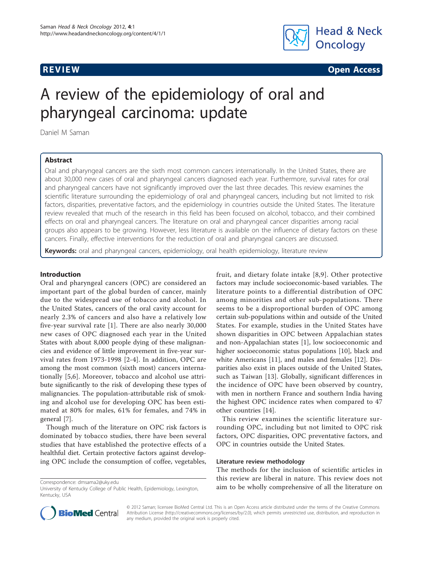

**REVIEW REVIEW CONSTRUCTER CONSTRUCTION** 

# A review of the epidemiology of oral and pharyngeal carcinoma: update

Daniel M Saman

# Abstract

Oral and pharyngeal cancers are the sixth most common cancers internationally. In the United States, there are about 30,000 new cases of oral and pharyngeal cancers diagnosed each year. Furthermore, survival rates for oral and pharyngeal cancers have not significantly improved over the last three decades. This review examines the scientific literature surrounding the epidemiology of oral and pharyngeal cancers, including but not limited to risk factors, disparities, preventative factors, and the epidemiology in countries outside the United States. The literature review revealed that much of the research in this field has been focused on alcohol, tobacco, and their combined effects on oral and pharyngeal cancers. The literature on oral and pharyngeal cancer disparities among racial groups also appears to be growing. However, less literature is available on the influence of dietary factors on these cancers. Finally, effective interventions for the reduction of oral and pharyngeal cancers are discussed.

Keywords: oral and pharyngeal cancers, epidemiology, oral health epidemiology, literature review

# Introduction

Oral and pharyngeal cancers (OPC) are considered an important part of the global burden of cancer, mainly due to the widespread use of tobacco and alcohol. In the United States, cancers of the oral cavity account for nearly 2.3% of cancers and also have a relatively low five-year survival rate [[1](#page-5-0)]. There are also nearly 30,000 new cases of OPC diagnosed each year in the United States with about 8,000 people dying of these malignancies and evidence of little improvement in five-year survival rates from 1973-1998 [[2](#page-5-0)-[4\]](#page-6-0). In addition, OPC are among the most common (sixth most) cancers internationally [[5,6](#page-6-0)]. Moreover, tobacco and alcohol use attribute significantly to the risk of developing these types of malignancies. The population-attributable risk of smoking and alcohol use for developing OPC has been estimated at 80% for males, 61% for females, and 74% in general [\[7](#page-6-0)].

Though much of the literature on OPC risk factors is dominated by tobacco studies, there have been several studies that have established the protective effects of a healthful diet. Certain protective factors against developing OPC include the consumption of coffee, vegetables,

fruit, and dietary folate intake [[8](#page-6-0),[9\]](#page-6-0). Other protective factors may include socioeconomic-based variables. The literature points to a differential distribution of OPC among minorities and other sub-populations. There seems to be a disproportional burden of OPC among certain sub-populations within and outside of the United States. For example, studies in the United States have shown disparities in OPC between Appalachian states and non-Appalachian states [\[1](#page-5-0)], low socioeconomic and higher socioeconomic status populations [\[10\]](#page-6-0), black and white Americans [[11\]](#page-6-0), and males and females [[12](#page-6-0)]. Disparities also exist in places outside of the United States, such as Taiwan [\[13](#page-6-0)]. Globally, significant differences in the incidence of OPC have been observed by country, with men in northern France and southern India having the highest OPC incidence rates when compared to 47 other countries [[14](#page-6-0)].

This review examines the scientific literature surrounding OPC, including but not limited to OPC risk factors, OPC disparities, OPC preventative factors, and OPC in countries outside the United States.

### Literature review methodology

The methods for the inclusion of scientific articles in this review are liberal in nature. This review does not Correspondence: [dmsama2@uky.edu](mailto:dmsama2@uky.edu)<br>University of Kentucky College of Public Health. Epidemiology. Lexington. **aim to be wholly comprehensive of all the literature on** 



© 2012 Saman; licensee BioMed Central Ltd. This is an Open Access article distributed under the terms of the Creative Commons Attribution License [\(http://creativecommons.org/licenses/by/2.0](http://creativecommons.org/licenses/by/2.0)), which permits unrestricted use, distribution, and reproduction in any medium, provided the original work is properly cited.

University of Kentucky College of Public Health, Epidemiology, Lexington, Kentucky, USA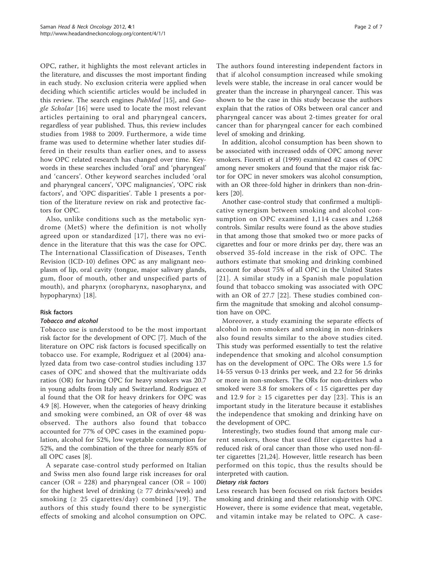OPC, rather, it highlights the most relevant articles in the literature, and discusses the most important finding in each study. No exclusion criteria were applied when deciding which scientific articles would be included in this review. The search engines PubMed [\[15](#page-6-0)], and Google Scholar [\[16\]](#page-6-0) were used to locate the most relevant articles pertaining to oral and pharyngeal cancers, regardless of year published. Thus, this review includes studies from 1988 to 2009. Furthermore, a wide time frame was used to determine whether later studies differed in their results than earlier ones, and to assess how OPC related research has changed over time. Keywords in these searches included 'oral' and 'pharyngeal' and 'cancers'. Other keyword searches included 'oral and pharyngeal cancers', 'OPC malignancies', 'OPC risk factors', and 'OPC disparities'. Table [1](#page-2-0) presents a portion of the literature review on risk and protective factors for OPC.

Also, unlike conditions such as the metabolic syndrome (MetS) where the definition is not wholly agreed upon or standardized [[17](#page-6-0)], there was no evidence in the literature that this was the case for OPC. The International Classification of Diseases, Tenth Revision (ICD-10) defines OPC as any malignant neoplasm of lip, oral cavity (tongue, major salivary glands, gum, floor of mouth, other and unspecified parts of mouth), and pharynx (oropharynx, nasopharynx, and hypopharynx) [[18\]](#page-6-0).

# Risk factors

### Tobacco and alcohol

Tobacco use is understood to be the most important risk factor for the development of OPC [[7\]](#page-6-0). Much of the literature on OPC risk factors is focused specifically on tobacco use. For example, Rodriguez et al (2004) analyzed data from two case-control studies including 137 cases of OPC and showed that the multivariate odds ratios (OR) for having OPC for heavy smokers was 20.7 in young adults from Italy and Switzerland. Rodriguez et al found that the OR for heavy drinkers for OPC was 4.9 [\[8](#page-6-0)]. However, when the categories of heavy drinking and smoking were combined, an OR of over 48 was observed. The authors also found that tobacco accounted for 77% of OPC cases in the examined population, alcohol for 52%, low vegetable consumption for 52%, and the combination of the three for nearly 85% of all OPC cases [\[8](#page-6-0)].

A separate case-control study performed on Italian and Swiss men also found large risk increases for oral cancer (OR = 228) and pharyngeal cancer (OR =  $100$ ) for the highest level of drinking  $(≥ 77$  drinks/week) and smoking  $(≥ 25$  cigarettes/day) combined [[19\]](#page-6-0). The authors of this study found there to be synergistic effects of smoking and alcohol consumption on OPC. The authors found interesting independent factors in that if alcohol consumption increased while smoking levels were stable, the increase in oral cancer would be greater than the increase in pharyngeal cancer. This was shown to be the case in this study because the authors explain that the ratios of ORs between oral cancer and pharyngeal cancer was about 2-times greater for oral cancer than for pharyngeal cancer for each combined level of smoking and drinking.

In addition, alcohol consumption has been shown to be associated with increased odds of OPC among never smokers. Fioretti et al (1999) examined 42 cases of OPC among never smokers and found that the major risk factor for OPC in never smokers was alcohol consumption, with an OR three-fold higher in drinkers than non-drinkers [[20\]](#page-6-0).

Another case-control study that confirmed a multiplicative synergism between smoking and alcohol consumption on OPC examined 1,114 cases and 1,268 controls. Similar results were found as the above studies in that among those that smoked two or more packs of cigarettes and four or more drinks per day, there was an observed 35-fold increase in the risk of OPC. The authors estimate that smoking and drinking combined account for about 75% of all OPC in the United States [[21](#page-6-0)]. A similar study in a Spanish male population found that tobacco smoking was associated with OPC with an OR of 27.7 [[22](#page-6-0)]. These studies combined confirm the magnitude that smoking and alcohol consumption have on OPC.

Moreover, a study examining the separate effects of alcohol in non-smokers and smoking in non-drinkers also found results similar to the above studies cited. This study was performed essentially to test the relative independence that smoking and alcohol consumption has on the development of OPC. The ORs were 1.5 for 14-55 versus 0-13 drinks per week, and 2.2 for 56 drinks or more in non-smokers. The ORs for non-drinkers who smoked were 3.8 for smokers of  $< 15$  cigarettes per day and 12.9 for  $\geq$  15 cigarettes per day [[23](#page-6-0)]. This is an important study in the literature because it establishes the independence that smoking and drinking have on the development of OPC.

Interestingly, two studies found that among male current smokers, those that used filter cigarettes had a reduced risk of oral cancer than those who used non-filter cigarettes [\[21](#page-6-0),[24\]](#page-6-0). However, little research has been performed on this topic, thus the results should be interpreted with caution.

### Dietary risk factors

Less research has been focused on risk factors besides smoking and drinking and their relationship with OPC. However, there is some evidence that meat, vegetable, and vitamin intake may be related to OPC. A case-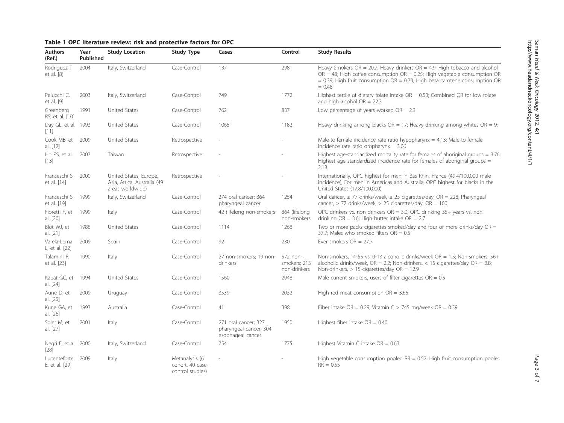<span id="page-2-0"></span>

| <b>Authors</b><br>(Ref.)          | Year<br>Published | <b>Study Location</b>                                                     | Study Type                                             | Cases                                                               | Control                                  | <b>Study Results</b>                                                                                                                                                                                                                                           |
|-----------------------------------|-------------------|---------------------------------------------------------------------------|--------------------------------------------------------|---------------------------------------------------------------------|------------------------------------------|----------------------------------------------------------------------------------------------------------------------------------------------------------------------------------------------------------------------------------------------------------------|
| Rodriguez T<br>et al. [8]         | 2004              | Italy, Switzerland                                                        | Case-Control                                           | 137                                                                 | 298                                      | Heavy Smokers OR = $20.7$ ; Heavy drinkers OR = 4.9; High tobacco and alcohol<br>$OR = 48$ ; High coffee consumption $OR = 0.25$ ; High vegetable consumption OR<br>$= 0.39$ ; High fruit consumption OR = 0.73; High beta carotene consumption OR<br>$= 0.48$ |
| Pelucchi C,<br>et al. [9]         | 2003              | Italy, Switzerland                                                        | Case-Control                                           | 749                                                                 | 1772                                     | Highest tertile of dietary folate intake $OR = 0.53$ ; Combined OR for low folate<br>and high alcohol $OR = 22.3$                                                                                                                                              |
| Greenberg<br>RS, et al. [10]      | 1991              | United States                                                             | Case-Control                                           | 762                                                                 | 837                                      | Low percentage of years worked $OR = 2.3$                                                                                                                                                                                                                      |
| Day GL, et al. 1993<br>[11]       |                   | United States                                                             | Case-Control                                           | 1065                                                                | 1182                                     | Heavy drinking among blacks $OR = 17$ ; Heavy drinking among whites $OR = 9$ ;                                                                                                                                                                                 |
| Cook MB, et 2009<br>al. [12]      |                   | United States                                                             | Retrospective                                          |                                                                     |                                          | Male-to-female incidence rate ratio hypopharynx = $4.13$ ; Male-to-female<br>incidence rate ratio oropharynx = $3.06$                                                                                                                                          |
| Ho PS, et al. 2007<br>$[13]$      |                   | Taiwan                                                                    | Retrospective                                          |                                                                     |                                          | Highest age-standardized mortality rate for females of aboriginal groups $=$ 3.76;<br>Highest age standardized incidence rate for females of aboriginal groups =<br>2.18                                                                                       |
| Franseschi S, 2000<br>et al. [14] |                   | United States, Europe,<br>Asia, Africa, Australia (49<br>areas worldwide) | Retrospective                                          |                                                                     |                                          | Internationally, OPC highest for men in Bas Rhin, France (49.4/100,000 male<br>incidence); For men in Americas and Australia, OPC highest for blacks in the<br>United States (17.8/100,000)                                                                    |
| Franseschi S, 1999<br>et al. [19] |                   | Italy, Switzerland                                                        | Case-Control                                           | 274 oral cancer; 364<br>pharyngeal cancer                           | 1254                                     | Oral cancer, $\geq$ 77 drinks/week, $\geq$ 25 cigarettes/day, OR = 228; Pharyngeal<br>cancer, $> 77$ drinks/week, $> 25$ cigarettes/day, OR = 100                                                                                                              |
| Fioretti F, et<br>al. [20]        | 1999              | Italy                                                                     | Case-Control                                           | 42 (lifelong non-smokers                                            | 864 (lifelong<br>non-smokers             | OPC drinkers vs. non drinkers $OR = 3.0$ ; OPC drinking $35+$ years vs. non<br>drinking $OR = 3.6$ ; High butter intake $OR = 2.7$                                                                                                                             |
| Blot WJ, et<br>al. [21]           | 1988              | <b>United States</b>                                                      | Case-Control                                           | 1114                                                                | 1268                                     | Two or more packs cigarettes smoked/day and four or more drinks/day $OR =$<br>37.7; Males who smoked filters $OR = 0.5$                                                                                                                                        |
| Varela-Lema<br>L, et al. [22]     | 2009              | Spain                                                                     | Case-Control                                           | 92                                                                  | 230                                      | Ever smokers $OR = 27.7$                                                                                                                                                                                                                                       |
| Talamini R,<br>et al. [23]        | 1990              | Italy                                                                     | Case-Control                                           | 27 non-smokers; 19 non-<br>drinkers                                 | 572 non-<br>smokers; 213<br>non-drinkers | Non-smokers, 14-55 vs. 0-13 alcoholic drinks/week $OR = 1.5$ ; Non-smokers, 56+<br>alcoholic drinks/week, $OR = 2.2$ ; Non-drinkers, < 15 cigarettes/day $OR = 3.8$ ;<br>Non-drinkers, $> 15$ cigarettes/day OR = 12.9                                         |
| Kabat GC, et<br>al. [24]          | 1994              | United States                                                             | Case-Control                                           | 1560                                                                | 2948                                     | Male current smokers, users of filter cigarettes $OR = 0.5$                                                                                                                                                                                                    |
| Aune D, et<br>al. [25]            | 2009              | Uruguay                                                                   | Case-Control                                           | 3539                                                                | 2032                                     | High red meat consumption $OR = 3.65$                                                                                                                                                                                                                          |
| Kune GA, et<br>al. [26]           | 1993              | Australia                                                                 | Case-Control                                           | 41                                                                  | 398                                      | Fiber intake OR = 0.29; Vitamin C > 745 mg/week OR = 0.39                                                                                                                                                                                                      |
| Soler M, et<br>al. [27]           | 2001              | Italy                                                                     | Case-Control                                           | 271 oral cancer; 327<br>pharyngeal cancer; 304<br>esophageal cancer | 1950                                     | Highest fiber intake $OR = 0.40$                                                                                                                                                                                                                               |
| Negri E, et al. 2000<br>$[28]$    |                   | Italy, Switzerland                                                        | Case-Control                                           | 754                                                                 | 1775                                     | Highest Vitamin C intake $OR = 0.63$                                                                                                                                                                                                                           |
| Lucenteforte<br>E, et al. [29]    | 2009              | Italy                                                                     | Metanalysis (6<br>cohort, 40 case-<br>control studies) |                                                                     |                                          | High vegetable consumption pooled $RR = 0.52$ ; High fruit consumption pooled<br>$RR = 0.55$                                                                                                                                                                   |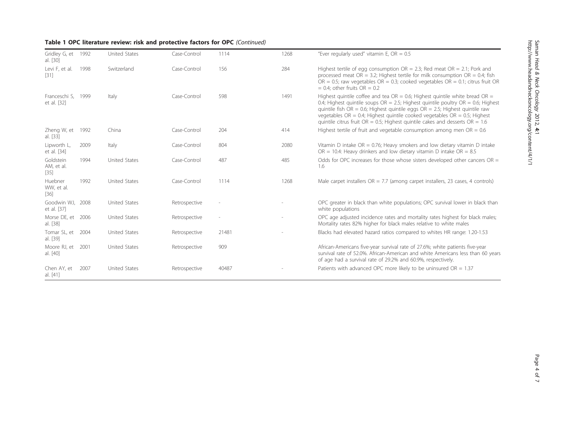| Table 1 OPC literature review: risk and protective factors for OPC (Continued) |  |  |
|--------------------------------------------------------------------------------|--|--|
|--------------------------------------------------------------------------------|--|--|

| Gridley G, et<br>al. [30]         | 1992 | United States        | Case-Control  | 1114           | 1268 | "Ever regularly used" vitamin E, $OR = 0.5$                                                                                                                                                                                                                                                                                                                                                                                     |
|-----------------------------------|------|----------------------|---------------|----------------|------|---------------------------------------------------------------------------------------------------------------------------------------------------------------------------------------------------------------------------------------------------------------------------------------------------------------------------------------------------------------------------------------------------------------------------------|
| Levi F, et al.<br>$[31]$          | 1998 | Switzerland          | Case-Control  | 156            | 284  | Highest tertile of egg consumption $OR = 2.3$ ; Red meat $OR = 2.1$ ; Pork and<br>processed meat OR = 3.2; Highest tertile for milk consumption OR = 0.4; fish<br>OR = 0.5; raw vegetables OR = 0.3; cooked vegetables OR = 0.1; citrus fruit OR<br>$= 0.4$ ; other fruits OR $= 0.2$                                                                                                                                           |
| Franceschi S, 1999<br>et al. [32] |      | Italy                | Case-Control  | 598            | 1491 | Highest quintile coffee and tea $OR = 0.6$ ; Highest quintile white bread $OR =$<br>0.4; Highest quintile soups $OR = 2.5$ ; Highest quintile poultry $OR = 0.6$ ; Highest<br>quintile fish OR = 0.6; Highest quintile eggs OR = $2.5$ ; Highest quintile raw<br>vegetables OR = 0.4; Highest quintile cooked vegetables OR = 0.5; Highest<br>quintile citrus fruit $OR = 0.5$ ; Highest quintile cakes and desserts $OR = 1.6$ |
| Zheng W, et<br>al. [33]           | 1992 | China                | Case-Control  | 204            | 414  | Highest tertile of fruit and vegetable consumption among men $OR = 0.6$                                                                                                                                                                                                                                                                                                                                                         |
| Lipworth L,<br>et al. [34]        | 2009 | Italy                | Case-Control  | 804            | 2080 | Vitamin D intake $OR = 0.76$ ; Heavy smokers and low dietary vitamin D intake<br>OR = 10.4: Heavy drinkers and low dietary vitamin D intake OR = $8.5$                                                                                                                                                                                                                                                                          |
| Goldstein<br>AM, et al.<br>$[35]$ | 1994 | <b>United States</b> | Case-Control  | 487            | 485  | Odds for OPC increases for those whose sisters developed other cancers $OR =$<br>1.6                                                                                                                                                                                                                                                                                                                                            |
| Huebner<br>WW, et al.<br>$[36]$   | 1992 | <b>United States</b> | Case-Control  | 1114           | 1268 | Male carpet installers $OR = 7.7$ (among carpet installers, 23 cases, 4 controls)                                                                                                                                                                                                                                                                                                                                               |
| Goodwin WJ, 2008<br>et al. [37]   |      | <b>United States</b> | Retrospective | ÷              |      | OPC greater in black than white populations; OPC survival lower in black than<br>white populations                                                                                                                                                                                                                                                                                                                              |
| Morse DE, et<br>al. [38]          | 2006 | <b>United States</b> | Retrospective | $\overline{a}$ |      | OPC age adjusted incidence rates and mortality rates highest for black males;<br>Mortality rates 82% higher for black males relative to white males                                                                                                                                                                                                                                                                             |
| Tomar SL, et<br>al. [39]          | 2004 | <b>United States</b> | Retrospective | 21481          |      | Blacks had elevated hazard ratios compared to whites HR range: 1.20-1.53                                                                                                                                                                                                                                                                                                                                                        |
| Moore RJ, et<br>al. [40]          | 2001 | <b>United States</b> | Retrospective | 909            |      | African-Americans five-year survival rate of 27.6%; white patients five-year<br>survival rate of 52.0%. African-American and white Americans less than 60 years<br>of age had a survival rate of 29.2% and 60.9%, respectively.                                                                                                                                                                                                 |
| Chen AY, et<br>al. [41]           | 2007 | <b>United States</b> | Retrospective | 40487          |      | Patients with advanced OPC more likely to be uninsured $OR = 1.37$                                                                                                                                                                                                                                                                                                                                                              |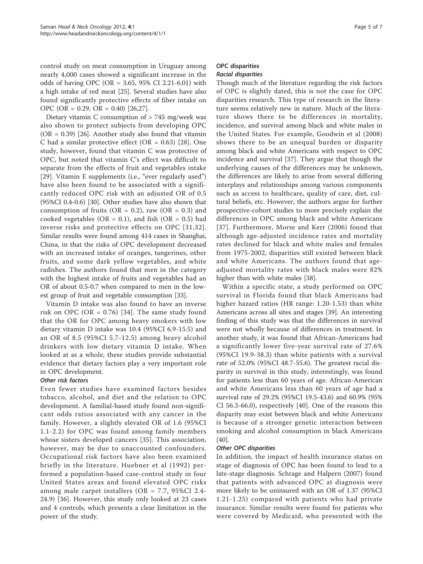control study on meat consumption in Uruguay among nearly 4,000 cases showed a significant increase in the odds of having OPC (OR = 3.65, 95% CI 2.21-6.01) with a high intake of red meat [\[25](#page-6-0)]. Several studies have also found significantly protective effects of fiber intake on OPC (OR = 0.29, OR = 0.40) [[26,27\]](#page-6-0).

Dietary vitamin C consumption of > 745 mg/week was also shown to protect subjects from developing OPC  $(OR = 0.39)$  [[26](#page-6-0)]. Another study also found that vitamin C had a similar protective effect (OR =  $0.63$ ) [[28\]](#page-6-0). One study, however, found that vitamin C was protective of OPC, but noted that vitamin C's effect was difficult to separate from the effects of fruit and vegetables intake [[29\]](#page-6-0). Vitamin E supplements (i.e., "ever regularly used") have also been found to be associated with a significantly reduced OPC risk with an adjusted OR of 0.5 (95%CI 0.4-0.6) [[30](#page-6-0)]. Other studies have also shown that consumption of fruits (OR =  $0.2$ ), raw (OR =  $0.3$ ) and cooked vegetables (OR = 0.1), and fish (OR = 0.5) had inverse risks and protective effects on OPC [[31,32\]](#page-6-0). Similar results were found among 414 cases in Shanghai, China, in that the risks of OPC development decreased with an increased intake of oranges, tangerines, other fruits, and some dark yellow vegetables, and white radishes. The authors found that men in the category with the highest intake of fruits and vegetables had an OR of about 0.5-0.7 when compared to men in the lowest group of fruit and vegetable consumption [\[33\]](#page-6-0).

Vitamin D intake was also found to have an inverse risk on OPC (OR = 0.76) [[34\]](#page-6-0). The same study found that the OR for OPC among heavy smokers with low dietary vitamin D intake was 10.4 (95%CI 6.9-15.5) and an OR of 8.5 (95%CI 5.7-12.5) among heavy alcohol drinkers with low dietary vitamin D intake. When looked at as a whole, these studies provide substantial evidence that dietary factors play a very important role in OPC development.

# Other risk factors

Even fewer studies have examined factors besides tobacco, alcohol, and diet and the relation to OPC development. A familial-based study found non-significant odds ratios associated with any cancer in the family. However, a slightly elevated OR of 1.6 (95%CI 1.1-2.2) for OPC was found among family members whose sisters developed cancers [\[35\]](#page-6-0). This association, however, may be due to unaccounted confounders. Occupational risk factors have also been examined briefly in the literature. Huebner et al (1992) performed a population-based case-control study in four United States areas and found elevated OPC risks among male carpet installers (OR = 7.7, 95%CI 2.4- 24.9) [\[36](#page-6-0)]. However, this study only looked at 23 cases and 4 controls, which presents a clear limitation in the power of the study.

# OPC disparities Racial disparities

Though much of the literature regarding the risk factors of OPC is slightly dated, this is not the case for OPC disparities research. This type of research in the literature seems relatively new in nature. Much of the literature shows there to be differences in mortality, incidence, and survival among black and white males in the United States. For example, Goodwin et al (2008) shows there to be an unequal burden or disparity among black and white Americans with respect to OPC incidence and survival [\[37](#page-6-0)]. They argue that though the underlying causes of the differences may be unknown, the differences are likely to arise from several differing interplays and relationships among various components such as access to healthcare, quality of care, diet, cultural beliefs, etc. However, the authors argue for further prospective-cohort studies to more precisely explain the differences in OPC among black and white Americans [[37\]](#page-6-0). Furthermore, Morse and Kerr (2006) found that although age-adjusted incidence rates and mortality rates declined for black and white males and females from 1975-2002, disparities still existed between black and white Americans. The authors found that ageadjusted mortality rates with black males were 82% higher than with white males [\[38](#page-6-0)].

Within a specific state, a study performed on OPC survival in Florida found that black Americans had higher hazard ratios (HR range: 1.20-1.53) than white Americans across all sites and stages [[39\]](#page-6-0). An interesting finding of this study was that the differences in survival were not wholly because of differences in treatment. In another study, it was found that African-Americans had a significantly lower five-year survival rate of 27.6% (95%CI 19.9-38.3) than white patients with a survival rate of 52.0% (95%CI 48.7-55.6). The greatest racial disparity in survival in this study, interestingly, was found for patients less than 60 years of age. African-American and white Americans less than 60 years of age had a survival rate of 29.2% (95%CI 19.5-43.6) and 60.9% (95% CI 56.3-66.0), respectively [[40\]](#page-6-0). One of the reasons this disparity may exist between black and white Americans is because of a stronger genetic interaction between smoking and alcohol consumption in black Americans [[40\]](#page-6-0).

# Other OPC disparities

In addition, the impact of health insurance status on stage of diagnosis of OPC has been found to lead to a late-stage diagnosis. Schrage and Halpern (2007) found that patients with advanced OPC at diagnosis were more likely to be uninsured with an OR of 1.37 (95%CI 1.21-1.25) compared with patients who had private insurance. Similar results were found for patients who were covered by Medicaid, who presented with the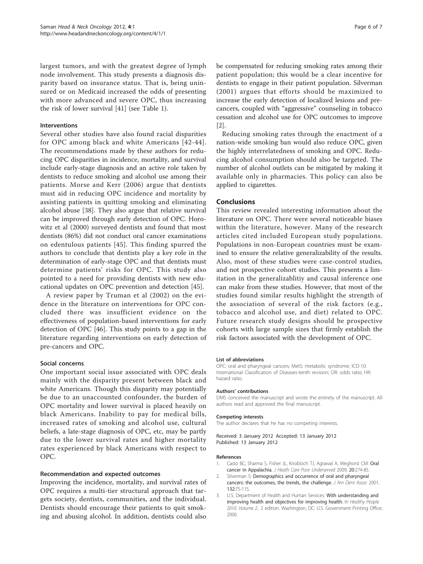<span id="page-5-0"></span>largest tumors, and with the greatest degree of lymph node involvement. This study presents a diagnosis disparity based on insurance status. That is, being uninsured or on Medicaid increased the odds of presenting with more advanced and severe OPC, thus increasing the risk of lower survival [\[41](#page-6-0)] (see Table [1](#page-2-0)).

# Interventions

Several other studies have also found racial disparities for OPC among black and white Americans [[42](#page-6-0)-[44\]](#page-6-0). The recommendations made by these authors for reducing OPC disparities in incidence, mortality, and survival include early-stage diagnosis and an active role taken by dentists to reduce smoking and alcohol use among their patients. Morse and Kerr (2006) argue that dentists must aid in reducing OPC incidence and mortality by assisting patients in quitting smoking and eliminating alcohol abuse [\[38\]](#page-6-0). They also argue that relative survival can be improved through early detection of OPC. Horowitz et al (2000) surveyed dentists and found that most dentists (86%) did not conduct oral cancer examinations on edentulous patients [[45\]](#page-6-0). This finding spurred the authors to conclude that dentists play a key role in the determination of early-stage OPC and that dentists must determine patients' risks for OPC. This study also pointed to a need for providing dentists with new educational updates on OPC prevention and detection [\[45\]](#page-6-0).

A review paper by Truman et al (2002) on the evidence in the literature on interventions for OPC concluded there was insufficient evidence on the effectiveness of population-based interventions for early detection of OPC [[46](#page-6-0)]. This study points to a gap in the literature regarding interventions on early detection of pre-cancers and OPC.

## Social concerns

One important social issue associated with OPC deals mainly with the disparity present between black and white Americans. Though this disparity may potentially be due to an unaccounted confounder, the burden of OPC mortality and lower survival is placed heavily on black Americans. Inability to pay for medical bills, increased rates of smoking and alcohol use, cultural beliefs, a late-stage diagnosis of OPC, etc, may be partly due to the lower survival rates and higher mortality rates experienced by black Americans with respect to OPC.

### Recommendation and expected outcomes

Improving the incidence, mortality, and survival rates of OPC requires a multi-tier structural approach that targets society, dentists, communities, and the individual. Dentists should encourage their patients to quit smoking and abusing alcohol. In addition, dentists could also

be compensated for reducing smoking rates among their patient population; this would be a clear incentive for dentists to engage in their patient population. Silverman (2001) argues that efforts should be maximized to increase the early detection of localized lesions and precancers, coupled with "aggressive" counseling in tobacco cessation and alcohol use for OPC outcomes to improve [2].

Reducing smoking rates through the enactment of a nation-wide smoking ban would also reduce OPC, given the highly interrelatedness of smoking and OPC. Reducing alcohol consumption should also be targeted. The number of alcohol outlets can be mitigated by making it available only in pharmacies. This policy can also be applied to cigarettes.

# Conclusions

This review revealed interesting information about the literature on OPC. There were several noticeable biases within the literature, however. Many of the research articles cited included European study populations. Populations in non-European countries must be examined to ensure the relative generalizability of the results. Also, most of these studies were case-control studies, and not prospective cohort studies. This presents a limitation in the generalizablitiy and causal inference one can make from these studies. However, that most of the studies found similar results highlight the strength of the association of several of the risk factors (e.g., tobacco and alcohol use, and diet) related to OPC. Future research study designs should be prospective cohorts with large sample sizes that firmly establish the risk factors associated with the development of OPC.

#### List of abbreviations

OPC: oral and pharyngeal cancers; MetS: metabolic syndrome; ICD-10: International Classification of Diseases-tenth revision; OR: odds ratio; HR: hazard ratio.

#### Authors' contributions

DMS conceived the manuscript and wrote the entirety of the manuscript. All authors read and approved the final manuscript.

#### Competing interests

The author declares that he has no competing interests.

Received: 3 January 2012 Accepted: 13 January 2012 Published: 13 January 2012

#### References

- 1. Casto BC, Sharma S, Fisher JL, Knobloch TJ, Agrawal A, Weghorst CM: Oral cancer in Appalachia. J Heath Care Poor Underserved 2009, 20:274-85.
- Silverman S: [Demographics and occurrence of oral and pharyngeal](http://www.ncbi.nlm.nih.gov/pubmed/11803655?dopt=Abstract) [cancers: the outcomes, the trends, the challenge.](http://www.ncbi.nlm.nih.gov/pubmed/11803655?dopt=Abstract) J Am Dent Assoc 2001, 132:7S-11S.
- 3. U.S. Department of Health and Human Services: With understanding and improving health and objectives for improving health. In Healthy People 2010. Volume 2.. 2 edition. Washington, DC: U.S. Government Printing Office; 2000.